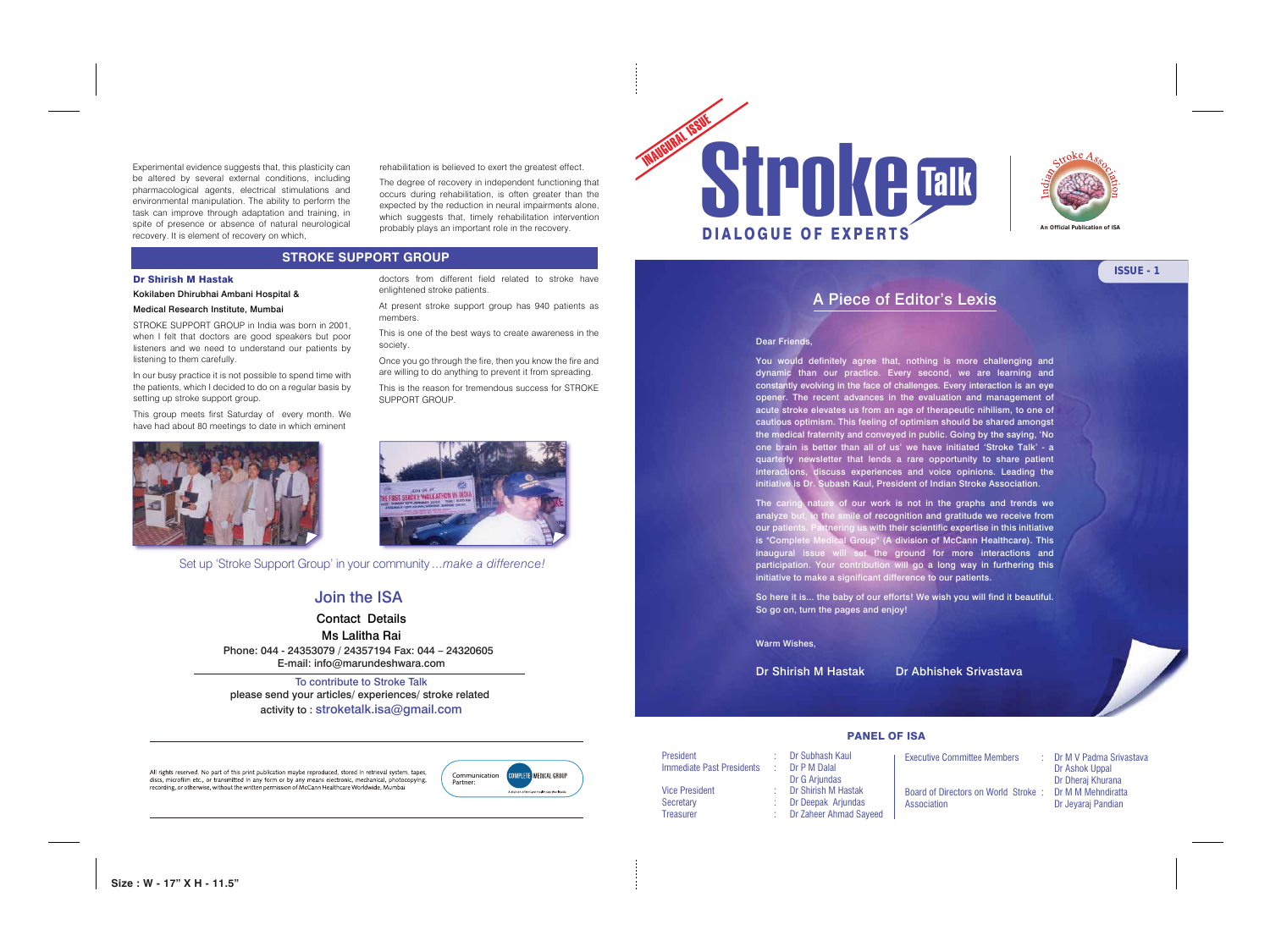Experimental evidence suggests that, this plasticity can be altered by several external conditions, including pharmacological agents, electrical stimulations and environmental manipulation. The ability to perform the task can improve through adaptation and training, in spite of presence or absence of natural neurological recovery. It is element of recovery on which,

## Dr Shirish M Hastak

Kokilaben Dhirubhai Ambani Hospital &

## Medical Research Institute, Mumbai

STROKE SUPPORT GROUP in India was born in 2001, when I felt that doctors are good speakers but poor listeners and we need to understand our patients by listening to them carefully.

In our busy practice it is not possible to spend time with the patients, which I decided to do on a regular basis by setting up stroke support group.

This group meets first Saturday of every month. We have had about 80 meetings to date in which eminent



doctors from different field related to stroke have

enlightened stroke patients.

At present stroke support group has 940 patients as

members.

This is one of the best ways to create awareness in the

society.

Once you go through the fire, then you know the fire and are willing to do anything to prevent it from spreading. This is the reason for tremendous success for STROKE

SUPPORT GROUP.

**An Official Publication of ISA**



# A Piece of Editor's Lexis

## Dear Friends,

You would definitely agree that, nothing is more challenging and dynamic than our practice. Every second, we are learning and constantly evolving in the face of challenges. Every interaction is an eye opener. The recent advances in the evaluation and management of acute stroke elevates us from an age of therapeutic nihilism, to one of cautious optimism. This feeling of optimism should be shared amongst the medical fraternity and conveyed in public. Going by the saying, 'No one brain is better than all of us' we have initiated 'Stroke Talk' - a quarterly newsletter that lends a rare opportunity to share patient interactions, discuss experiences and voice opinions. Leading the initiative is Dr. Subash Kaul, President of Indian Stroke Association.

The caring nature of our work is not in the graphs and trends we analyze but, in the smile of recognition and gratitude we receive from our patients. Partnering us with their scientific expertise in this initiative is "Complete Medical Group" (A division of McCann Healthcare). This inaugural issue will set the ground for more interactions and participation. Your contribution will go a long way in furthering this initiative to make a significant difference to our patients.

So here it is... the baby of our efforts! We wish you will find it beautiful. So go on, turn the pages and enjoy!

Warm Wishes,

| <b>President</b>          |  |
|---------------------------|--|
| Immediate Past Presidents |  |
|                           |  |
| <b>Vice President</b>     |  |
| Secretary                 |  |
| <b>Treasurer</b>          |  |
|                           |  |

All rights reserved. No part of this print publication maybe reproduced, stored in retrieval system, tapes, discs, microfilm etc., or transmitted in any form or by any means electronic, mechanical, photocopying, recording, or otherwise, without the written permission of McCann Healthcare Worldwide, Mumbai

Dr Shirish M Hastak Dr Abhishek Srivastava

### PANEL OF ISA

Dr Subhash Kaul Dr P M Dalal Dr G Arjundas Dr Shirish M Hastak Dr Deepak Arjundas Dr Zaheer Ahmad Sayeed

Executive Committee Members : Dr M V Padma Srivastava

 Dr Ashok Uppal Dr Dheraj Khurana

Board of Directors on World Stroke : Dr M M Mehndiratta Association Dr Jeyaraj Pandian





To contribute to Stroke Talk please send your articles/ experiences/ stroke related activity to : stroketalk.isa@gmail.com

# Join the ISA

Contact Details Ms Lalitha Rai Phone: 044 - 24353079 / 24357194 Fax: 044 – 24320605 E-mail: info@marundeshwara.com

## **STROKE SUPPORT GROUP**

rehabilitation is believed to exert the greatest effect.

The degree of recovery in independent functioning that occurs during rehabilitation, is often greater than the expected by the reduction in neural impairments alone, which suggests that, timely rehabilitation intervention probably plays an important role in the recovery.

**Size : W - 17" X H - 11.5"**



Set up 'Stroke Support Group' in your community *...make a difference!*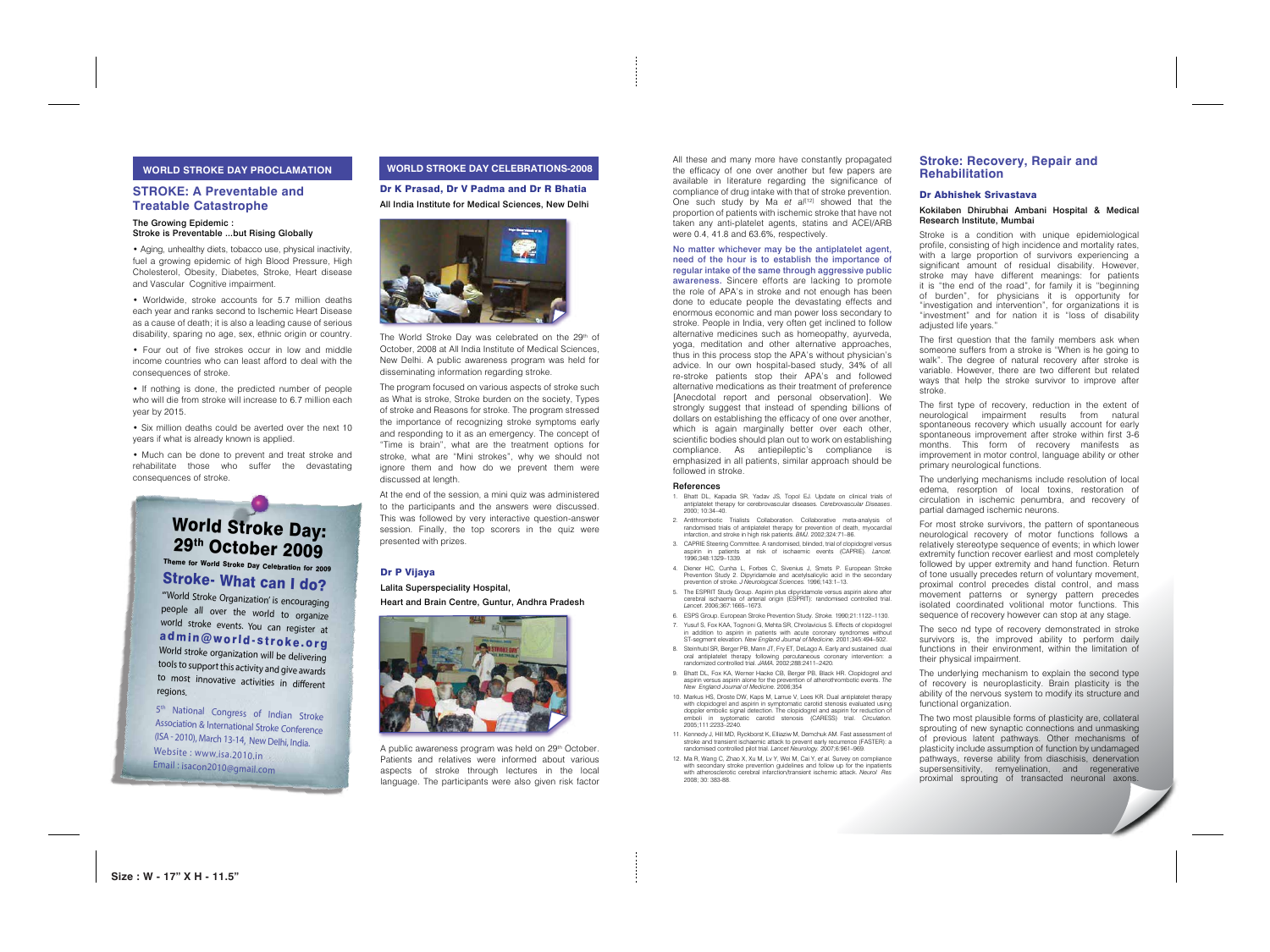## Dr P Vijaya

Lalita Superspeciality Hospital,

Heart and Brain Centre, Guntur, Andhra Pradesh



A public awareness program was held on 29<sup>th</sup> October. Patients and relatives were informed about various aspects of stroke through lectures in the local language. The participants were also given risk factor

# World Stroke Day: 29th October 2009 Theme for World Stroke Day Celebration for 2009

Stroke- What can I do?

5<sup>th</sup> National Congress of Indian Stroke Association & International Stroke Conference (ISA - 2010), March 13-14, New Delhi, India. Website : www.isa.2010.in Email : isacon2010@gmail.com

"'World Stroke Organization' is encouraging people all over the world to organize world stroke events. You can register at admin@world-stroke.org World stroke organization will be delivering tools to support this activity and give awards to most innovative activities in different regions.

## **WORLD STROKE DAY PROCLAMATION**

## **STROKE: A Preventable and Treatable Catastrophe**

#### The Growing Epidemic : Stroke is Preventable ...but Rising Globally

The World Stroke Day was celebrated on the 29<sup>th</sup> of October, 2008 at All India Institute of Medical Sciences, New Delhi. A public awareness program was held for disseminating information regarding stroke.

• Aging, unhealthy diets, tobacco use, physical inactivity, fuel a growing epidemic of high Blood Pressure, High Cholesterol, Obesity, Diabetes, Stroke, Heart disease and Vascular Cognitive impairment.

• Worldwide, stroke accounts for 5.7 million deaths each year and ranks second to Ischemic Heart Disease as a cause of death; it is also a leading cause of serious disability, sparing no age, sex, ethnic origin or country.

• Four out of five strokes occur in low and middle income countries who can least afford to deal with the consequences of stroke.

• If nothing is done, the predicted number of people who will die from stroke will increase to 6.7 million each year by 2015.

• Six million deaths could be averted over the next 10 years if what is already known is applied.

• Much can be done to prevent and treat stroke and rehabilitate those who suffer the devastating consequences of stroke.

## **WORLD STROKE DAY CELEBRATIONS-2008**

Dr K Prasad, Dr V Padma and Dr R Bhatia All India Institute for Medical Sciences, New Delhi



The program focused on various aspects of stroke such as What is stroke, Stroke burden on the society, Types of stroke and Reasons for stroke. The program stressed the importance of recognizing stroke symptoms early and responding to it as an emergency. The concept of "Time is brain", what are the treatment options for stroke, what are "Mini strokes", why we should not ignore them and how do we prevent them were discussed at length.

At the end of the session, a mini quiz was administered to the participants and the answers were discussed. This was followed by very interactive question-answer session. Finally, the top scorers in the quiz were presented with prizes.

All these and many more have constantly propagated the efficacy of one over another but few papers are available in literature regarding the significance of compliance of drug intake with that of stroke prevention. One such study by Ma et al<sup>[12]</sup> showed that the proportion of patients with ischemic stroke that have not taken any anti-platelet agents, statins and ACEI/ARB were 0.4, 41.8 and 63.6%, respectively.

No matter whichever may be the antiplatelet agent, need of the hour is to establish the importance of regular intake of the same through aggressive public awareness. Sincere efforts are lacking to promote the role of APA's in stroke and not enough has been done to educate people the devastating effects and enormous economic and man power loss secondary to stroke. People in India, very often get inclined to follow alternative medicines such as homeopathy, ayurveda, yoga, meditation and other alternative approaches, thus in this process stop the APA's without physician's advice. In our own hospital-based study, 34% of all re-stroke patients stop their APA's and followed alternative medications as their treatment of preference [Anecdotal report and personal observation]. We strongly suggest that instead of spending billions of dollars on establishing the efficacy of one over another, which is again marginally better over each other, scientific bodies should plan out to work on establishing compliance. As antiepileptic's compliance is emphasized in all patients, similar approach should be followed in stroke.

#### References

6. ESPS Group. European Stroke Prevention Study. *Stroke.* 1990;21:1122–1130. ST-segment elevation. *New England Journal of Medicine.* 2001;345:494–502.

- 1. Bhatt DL, Kapadia SR, Yadav JS, Topol EJ. Update on clinical trials of antiplatelet therapy for cerebrovascular diseases. *Cerebrovascular Diseases*. 2000; 10:34–40.
- 2. Antithrombotic Trialists Collaboration. Collaborative meta-analysis of randomised trials of antiplatelet therapy for prevention of death, myocardial infarction, and stroke in high risk patients. *BMJ.* 2002;324:71–86.
- 3. CAPRIE Steering Committee. A randomised, blinded, trial of clopidogrel versus aspirin in patients at risk of ischaemic events (CAPRIE). *Lancet.* 1996;348:1329–1339.
- 4. Diener HC, Cunha L, Forbes C, Sivenius J, Smets P. European Stroke Prevention Study 2. Dipyridamole and acetylsalicylic acid in the secondary prevention of stroke. *J Neurological Sciences.* 1996;143:1–13.
- 5. The ESPRIT Study Group. Aspirin plus dipyridamole versus aspirin alone after cerebral ischaemia of arterial origin (ESPRIT): randomised controlled trial. *Lancet.* 2006;367:1665–1673.
- Yusuf S, Fox KAA, Tognoni G, Mehta SR, Chrolavicius S. Effects of clopidogrel n addition to aspirin in patients with acute coronary syndromes without
- 8. Steinhubl SR, Berger PB, Mann JT, Fry ET, DeLago A. Early and sustained dual oral antiplatelet therapy following percutaneous coronary intervention: a randomized controlled trial. *JAMA.* 2002;288:2411–2420.
- 9. Bhatt DL, Fox KA, Werner Hacke CB, Berger PB, Black HR. Clopidogrel and aspirin versus aspirin alone for the prevention of atherothrombotic events. *The New England Journal of Medicine.* 2006;354
- with clopidogrel and aspirin in symptomatic carotid stenosis evaluated using doppler embolic signal detection. The clopidogrel and aspirin for reduction of emboli in syptomatic carotid stenosis (CARESS) trial. *Circulation.* 2005;111:2233–2240.
- 11. Kennedy J, Hill MD, Ryckborst K, Elliaziw M, Demchuk AM. Fast assessment of stroke and transient ischaemic attack to prevent early recurrence (FASTER): a randomised controlled pilot trial. *Lancet Neurology.* 2007;6:961–969.
- 12. Ma R, Wang C, Zhao X, Xu M, Lv Y, Wei M, Cai Y, *et al.* Survey on compliance with secondary stroke prevention guidelines and follow up for the inpatients with atherosclerotic cerebral infarction/transient ischemic attack. *Neurol Res* 2008; 30: 383-88.

10. Markus HS, Droste DW, Kaps M, Larrue V, Lees KR. Dual antiplatelet therapy

## **Stroke: Recovery, Repair and Rehabilitation**

#### Dr Abhishek Srivastava

### Kokilaben Dhirubhai Ambani Hospital & Medical Research Institute, Mumbai

Stroke is a condition with unique epidemiological profile, consisting of high incidence and mortality rates, with a large proportion of survivors experiencing a significant amount of residual disability. However, stroke may have different meanings: for patients it is "the end of the road", for family it is "beginning of burden", for physicians it is opportunity for "investigation and intervention", for organizations it is "investment" and for nation it is "loss of disability adjusted life years."

The first question that the family members ask when someone suffers from a stroke is "When is he going to walk". The degree of natural recovery after stroke is variable. However, there are two different but related ways that help the stroke survivor to improve after stroke.

The first type of recovery, reduction in the extent of neurological impairment results from natural spontaneous recovery which usually account for early spontaneous improvement after stroke within first 3-6 months. This form of recovery manifests as improvement in motor control, language ability or other primary neurological functions.

The underlying mechanisms include resolution of local edema, resorption of local toxins, restoration of circulation in ischemic penumbra, and recovery of partial damaged ischemic neurons.

For most stroke survivors, the pattern of spontaneous neurological recovery of motor functions follows a relatively stereotype sequence of events; in which lower extremity function recover earliest and most completely followed by upper extremity and hand function. Return of tone usually precedes return of voluntary movement, proximal control precedes distal control, and mass movement patterns or synergy pattern precedes isolated coordinated volitional motor functions. This sequence of recovery however can stop at any stage.

The seco nd type of recovery demonstrated in stroke survivors is, the improved ability to perform daily functions in their environment, within the limitation of their physical impairment.

The underlying mechanism to explain the second type of recovery is neuroplasticity. Brain plasticity is the ability of the nervous system to modify its structure and functional organization.

The two most plausible forms of plasticity are, collateral sprouting of new synaptic connections and unmasking of previous latent pathways. Other mechanisms of plasticity include assumption of function by undamaged pathways, reverse ability from diaschisis, denervation supersensitivity, remyelination, and regenerative proximal sprouting of transacted neuronal axons.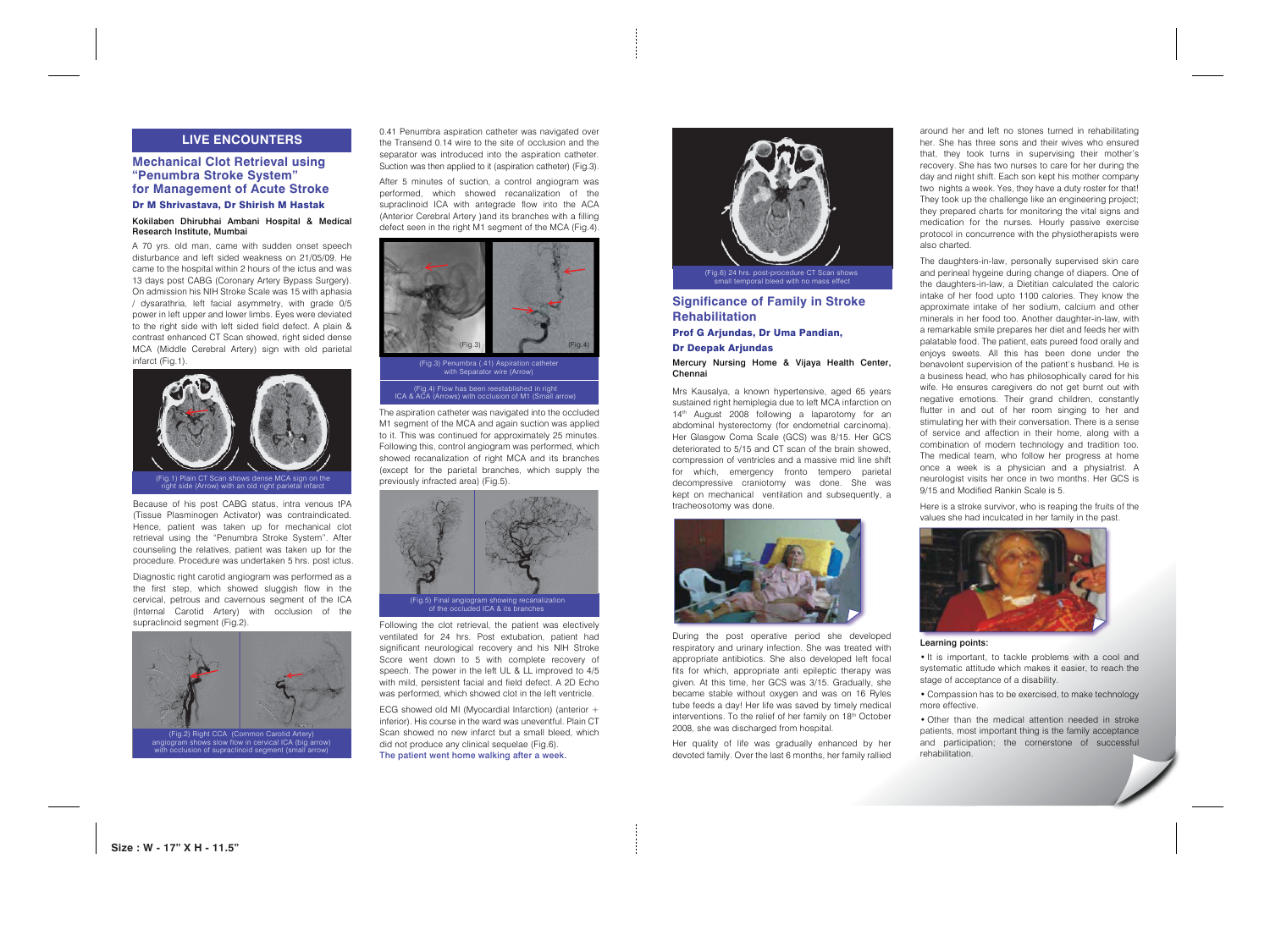Following the clot retrieval, the patient was electively ventilated for 24 hrs. Post extubation, patient had significant neurological recovery and his NIH Stroke Score went down to 5 with complete recovery of speech. The power in the left UL & LL improved to 4/5 with mild, persistent facial and field defect. A 2D Echo was performed, which showed clot in the left ventricle.

ECG showed old MI (Myocardial Infarction) (anterior + inferior). His course in the ward was uneventful. Plain CT Scan showed no new infarct but a small bleed, which did not produce any clinical sequelae (Fig.6). The patient went home walking after a week.

Because of his post CABG status, intra venous tPA (Tissue Plasminogen Activator) was contraindicated. Hence, patient was taken up for mechanical clot retrieval using the "Penumbra Stroke System". After counseling the relatives, patient was taken up for the procedure. Procedure was undertaken 5 hrs. post ictus.

Diagnostic right carotid angiogram was performed as a the first step, which showed sluggish flow in the cervical, petrous and cavernous segment of the ICA (Internal Carotid Artery) with occlusion of the supraclinoid segment (Fig.2).

#### Dr M Shrivastava, Dr Shirish M Hastak

## Kokilaben Dhirubhai Ambani Hospital & Medical Research Institute, Mumbai

A 70 yrs. old man, came with sudden onset speech disturbance and left sided weakness on 21/05/09. He came to the hospital within 2 hours of the ictus and was 13 days post CABG (Coronary Artery Bypass Surgery). On admission his NIH Stroke Scale was 15 with aphasia / dysarathria, left facial asymmetry, with grade 0/5 power in left upper and lower limbs. Eyes were deviated to the right side with left sided field defect. A plain & contrast enhanced CT Scan showed, right sided dense MCA (Middle Cerebral Artery) sign with old parietal infarct (Fig.1).

## **Significance of Family in Stroke Rehabilitation** Prof G Arjundas, Dr Uma Pandian, Dr Deepak Arjundas Mercury Nursing Home & Vijaya Health Center, Chennai

Mrs Kausalya, a known hypertensive, aged 65 years sustained right hemiplegia due to left MCA infarction on 14<sup>th</sup> August 2008 following a laparotomy for an abdominal hysterectomy (for endometrial carcinoma). Her Glasgow Coma Scale (GCS) was 8/15. Her GCS deteriorated to 5/15 and CT scan of the brain showed, compression of ventricles and a massive mid line shift for which, emergency fronto tempero parietal decompressive craniotomy was done. She was kept on mechanical ventilation and subsequently, a tracheosotomy was done.



During the post operative period she developed respiratory and urinary infection. She was treated with appropriate antibiotics. She also developed left focal fits for which, appropriate anti epileptic therapy was given. At this time, her GCS was 3/15. Gradually, she became stable without oxygen and was on 16 Ryles tube feeds a day! Her life was saved by timely medical interventions. To the relief of her family on 18<sup>th</sup> October 2008, she was discharged from hospital.

Her quality of life was gradually enhanced by her devoted family. Over the last 6 months, her family rallied



around her and left no stones turned in rehabilitating her. She has three sons and their wives who ensured that, they took turns in supervising their mother's recovery. She has two nurses to care for her during the day and night shift. Each son kept his mother company two nights a week. Yes, they have a duty roster for that! They took up the challenge like an engineering project; they prepared charts for monitoring the vital signs and medication for the nurses. Hourly passive exercise protocol in concurrence with the physiotherapists were also charted.

The daughters-in-law, personally supervised skin care and perineal hygeine during change of diapers. One of the daughters-in-law, a Dietitian calculated the caloric intake of her food upto 1100 calories. They know the approximate intake of her sodium, calcium and other minerals in her food too. Another daughter-in-law, with a remarkable smile prepares her diet and feeds her with palatable food. The patient, eats pureed food orally and enjoys sweets. All this has been done under the benavolent supervision of the patient's husband. He is a business head, who has philosophically cared for his wife. He ensures caregivers do not get burnt out with negative emotions. Their grand children, constantly flutter in and out of her room singing to her and stimulating her with their conversation. There is a sense of service and affection in their home, along with a combination of modern technology and tradition too. The medical team, who follow her progress at home once a week is a physician and a physiatrist. A neurologist visits her once in two months. Her GCS is 9/15 and Modified Rankin Scale is 5.

Here is a stroke survivor, who is reaping the fruits of the values she had inculcated in her family in the past.



#### Learning points:

• It is important, to tackle problems with a cool and systematic attitude which makes it easier, to reach the stage of acceptance of a disability.

• Compassion has to be exercised, to make technology more effective.

• Other than the medical attention needed in stroke patients, most important thing is the family acceptance and participation; the cornerstone of successful rehabilitation.

## **LIVE ENCOUNTERS**



The aspiration catheter was navigated into the occluded M1 segment of the MCA and again suction was applied to it. This was continued for approximately 25 minutes. Following this, control angiogram was performed, which showed recanalization of right MCA and its branches (except for the parietal branches, which supply the previously infracted area) (Fig.5).



0.41 Penumbra aspiration catheter was navigated over the Transend 0.14 wire to the site of occlusion and the separator was introduced into the aspiration catheter. Suction was then applied to it (aspiration catheter) (Fig.3).

After 5 minutes of suction, a control angiogram was performed, which showed recanalization of the supraclinoid ICA with antegrade flow into the ACA (Anterior Cerebral Artery )and its branches with a filling defect seen in the right M1 segment of the MCA (Fig.4).

(Fig.4) Flow has been reestablished in right ICA & ACA (Arrows) with occlusion of M1 (Small arrow)



(Fig.3) Penumbra (.41) Aspiration catheter with Separator wire (Arrow)

## **Mechanical Clot Retrieval using "Penumbra Stroke System" for Management of Acute Stroke**